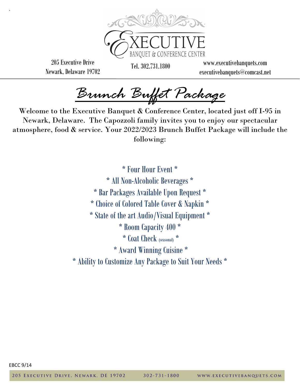

205 Executive Drive Newark, Delaware 19702

`

**BANOUET & CONFERE** 

Tel. 302.731.1800 www.executivebanquets.com executivebanquets@comcast.net

*Brunch Buffet Package* 

Welcome to the Executive Banquet & Conference Center, located just off I-95 in Newark, Delaware. The Capozzoli family invites you to enjoy our spectacular atmosphere, food & service. Your 2022/2023 Brunch Buffet Package will include the following:

> \* Four Hour Event \* \* All Non-Alcoholic Beverages \* \* Bar Packages Available Upon Request \* \* Choice of Colored Table Cover & Napkin \* \* State of the art Audio/Visual Equipment \* \* Room Capacity 400 \* \* Coat Check (seasonal) \* \* Award Winning Cuisine \* \* Ability to Customize Any Package to Suit Your Needs \*

EBCC 9/14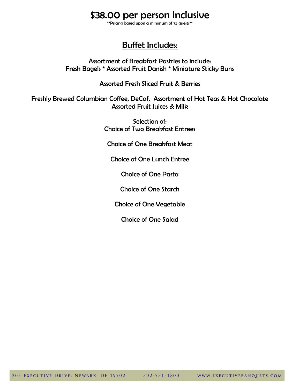# \$38.00 per person Inclusive

\*\*Pricing based upon a minimum of 75 guests\*\*

# Buffet Includes:

Assortment of Breakfast Pastries to include: Fresh Bagels \* Assorted Fruit Danish \* Miniature Sticky Buns

Assorted Fresh Sliced Fruit & Berries

Freshly Brewed Columbian Coffee, DeCaf, Assortment of Hot Teas & Hot Chocolate Assorted Fruit Juices & Milk

> Selection of: Choice of Two Breakfast Entrees

Choice of One Breakfast Meat

Choice of One Lunch Entree

Choice of One Pasta

Choice of One Starch

Choice of One Vegetable

Choice of One Salad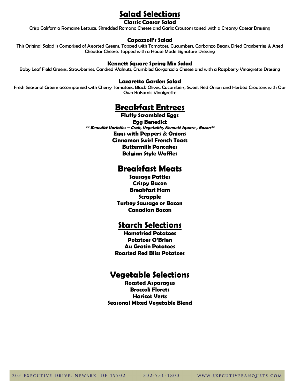# **Salad Selections**

### **Classic Caesar Salad**

Crisp California Romaine Lettuce, Shredded Romano Cheese and Garlic Croutons tossed with a Creamy Caesar Dressing

#### **Capozzoli's Salad**

This Original Salad is Comprised of Assorted Greens, Topped with Tomatoes, Cucumbers, Garbanzo Beans, Dried Cranberries & Aged Cheddar Cheese, Topped with a House Made Signature Dressing

#### **Kennett Square Spring Mix Salad**

Baby Leaf Field Greens, Strawberries, Candied Walnuts, Crumbled Gorgonzola Cheese and with a Raspberry Vinaigrette Dressing

#### **Lazaretto Garden Salad**

Fresh Seasonal Greens accompanied with Cherry Tomatoes, Black Olives, Cucumbers, Sweet Red Onion and Herbed Croutons with Our Own Balsamic Vinaigrette

# **Breakfast Entrees**

**Fluffy Scrambled Eggs Egg Benedict \*\* Benedict Varieties – Crab, Vegetable, Kennett Square , Bacon\*\* Eggs with Peppers & Onions Cinnamon Swirl French Toast Buttermilk Pancakes Belgian Style Waffles** 

# **Breakfast Meats**

**Sausage Patties Crispy Bacon Breakfast Ham Scrapple Turkey Sausage or Bacon Canadian Bacon**

# **Starch Selections**

**Homefried Potatoes Potatoes O'Brien Au Gratin Potatoes Roasted Red Bliss Potatoes**

# **Vegetable Selections**

**Roasted Asparagus Broccoli Florets Haricot Verts Seasonal Mixed Vegetable Blend**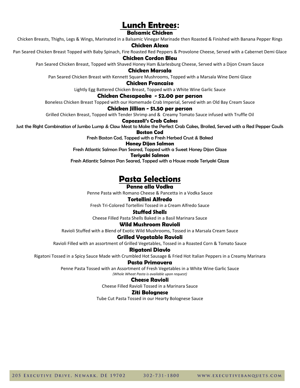# **Lunch Entrees:**

### **Balsamic Chicken**

Chicken Breasts, Thighs, Legs & Wings, Marinated in a Balsamic Vinegar Marinade then Roasted & Finished with Banana Pepper Rings

#### **Chicken Alexa**

Pan Seared Chicken Breast Topped with Baby Spinach, Fire Roasted Red Peppers & Provolone Cheese, Served with a Cabernet Demi Glace

#### **Chicken Cordon Bleu**

Pan Seared Chicken Breast, Topped with Shaved Honey Ham &Jarlesburg Cheese, Served with a Dijon Cream Sauce

#### **Chicken Marsala**

Pan Seared Chicken Breast with Kennett Square Mushrooms, Topped with a Marsala Wine Demi Glace

#### **Chicken Francaise**

Lightly Egg Battered Chicken Breast, Topped with a White Wine Garlic Sauce

#### **Chicken Chesapeake - \$2.00 per person**

Boneless Chicken Breast Topped with our Homemade Crab Imperial, Served with an Old Bay Cream Sauce

#### **Chicken Jillian - \$1.50 per person**

Grilled Chicken Breast, Topped with Tender Shrimp and & Creamy Tomato Sauce infused with Truffle Oil

#### **Capozzoli's Crab Cakes**

Just the Right Combination of Jumbo Lump & Claw Meat to Make the Perfect Crab Cakes, Broiled, Served with a Red Pepper Coulis

**Boston Cod**

Fresh Boston Cod, Topped with a Fresh Herbed Crust & Baked

**Honey Dijon Salmon** 

Fresh Atlantic Salmon Pan Seared, Topped with a Sweet Honey Dijon Glaze

#### **Teriyaki Salmon**

Fresh Atlantic Salmon Pan Seared, Topped with a House made Teriyaki Glaze

# **Pasta Selections**

#### **Penne alla Vodka**

Penne Pasta with Romano Cheese & Pancetta in a Vodka Sauce

#### **Tortellini Alfredo**

Fresh Tri-Colored Tortellini Tossed in a Cream Alfredo Sauce

#### **Stuffed Shells**

Cheese Filled Pasta Shells Baked in a Basil Marinara Sauce

## **Wild Mushroom Ravioli**

Ravioli Stuffed with a Blend of Exotic Wild Mushrooms, Tossed in a Marsala Cream Sauce

#### **Grilled Vegetable Ravioli**

Ravioli Filled with an assortment of Grilled Vegetables, Tossed in a Roasted Corn & Tomato Sauce

#### **Rigatoni Diavlo**

Rigatoni Tossed in a Spicy Sauce Made with Crumbled Hot Sausage & Fried Hot Italian Peppers in a Creamy Marinara

#### **Pasta Primavera**

Penne Pasta Tossed with an Assortment of Fresh Vegetables in a White Wine Garlic Sauce

### *(Whole Wheat Pasta is available upon request)*

### **Cheese Ravioli**

Cheese Filled Ravioli Tossed in a Marinara Sauce

#### **Ziti Bolognese**

Tube Cut Pasta Tossed in our Hearty Bolognese Sauce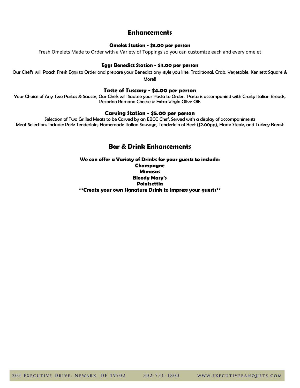## **Enhancements**

#### **Omelet Station - \$3.00 per person**

Fresh Omelets Made to Order with a Variety of Toppings so you can customize each and every omelet

#### **Eggs Benedict Station - \$4.00 per person**

Our Chef's will Poach Fresh Eggs to Order and prepare your Benedict any style you like, Traditional, Crab, Vegetable, Kennett Square & More!!

### **Taste of Tuscany - \$4.00 per person**

Your Choice of Any Two Pastas & Sauces, Our Chefs will Sautee your Pasta to Order. Pasta is accompanied with Crusty Italian Breads, Pecorino Romano Cheese & Extra Virgin Olive Oils

#### **Carving Station - \$5.00 per person**

Selection of Two Grilled Meats to be Carved by an EBCC Chef, Served with a display of accompaniments Meat Selections include: Pork Tenderloin, Homemade Italian Sausage, Tenderloin of Beef (\$2.00pp), Flank Steak, and Turkey Breast

## **Bar & Drink Enhancements**

**We can offer a Variety of Drinks for your guests to include: Champagne Mimosas Bloody Mary's Pointsettia \*\*Create your own Signature Drink to impress your guests\*\***